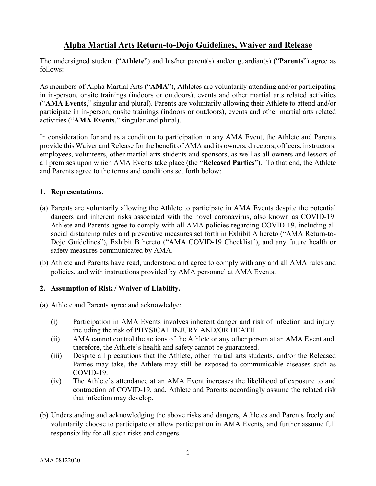# **Alpha Martial Arts Return-to-Dojo Guidelines, Waiver and Release**

The undersigned student ("**Athlete**") and his/her parent(s) and/or guardian(s) ("**Parents**") agree as follows:

As members of Alpha Martial Arts ("**AMA**"), Athletes are voluntarily attending and/or participating in in-person, onsite trainings (indoors or outdoors), events and other martial arts related activities ("**AMA Events**," singular and plural). Parents are voluntarily allowing their Athlete to attend and/or participate in in-person, onsite trainings (indoors or outdoors), events and other martial arts related activities ("**AMA Events**," singular and plural).

In consideration for and as a condition to participation in any AMA Event, the Athlete and Parents provide this Waiver and Release for the benefit of AMA and its owners, directors, officers, instructors, employees, volunteers, other martial arts students and sponsors, as well as all owners and lessors of all premises upon which AMA Events take place (the "**Released Parties**"). To that end, the Athlete and Parents agree to the terms and conditions set forth below:

### **1. Representations.**

- (a) Parents are voluntarily allowing the Athlete to participate in AMA Events despite the potential dangers and inherent risks associated with the novel coronavirus, also known as COVID-19. Athlete and Parents agree to comply with all AMA policies regarding COVID-19, including all social distancing rules and preventive measures set forth in Exhibit A hereto ("AMA Return-to-Dojo Guidelines"), Exhibit B hereto ("AMA COVID-19 Checklist"), and any future health or safety measures communicated by AMA.
- (b) Athlete and Parents have read, understood and agree to comply with any and all AMA rules and policies, and with instructions provided by AMA personnel at AMA Events.

### **2. Assumption of Risk / Waiver of Liability.**

(a) Athlete and Parents agree and acknowledge:

- (i) Participation in AMA Events involves inherent danger and risk of infection and injury, including the risk of PHYSICAL INJURY AND/OR DEATH.
- (ii) AMA cannot control the actions of the Athlete or any other person at an AMA Event and, therefore, the Athlete's health and safety cannot be guaranteed.
- (iii) Despite all precautions that the Athlete, other martial arts students, and/or the Released Parties may take, the Athlete may still be exposed to communicable diseases such as COVID-19.
- (iv) The Athlete's attendance at an AMA Event increases the likelihood of exposure to and contraction of COVID-19, and, Athlete and Parents accordingly assume the related risk that infection may develop.
- (b) Understanding and acknowledging the above risks and dangers, Athletes and Parents freely and voluntarily choose to participate or allow participation in AMA Events, and further assume full responsibility for all such risks and dangers.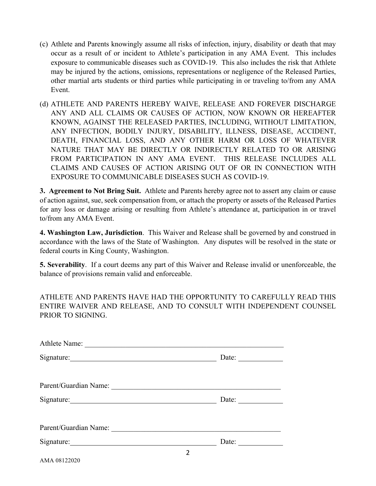- (c) Athlete and Parents knowingly assume all risks of infection, injury, disability or death that may occur as a result of or incident to Athlete's participation in any AMA Event. This includes exposure to communicable diseases such as COVID-19. This also includes the risk that Athlete may be injured by the actions, omissions, representations or negligence of the Released Parties, other martial arts students or third parties while participating in or traveling to/from any AMA Event.
- (d) ATHLETE AND PARENTS HEREBY WAIVE, RELEASE AND FOREVER DISCHARGE ANY AND ALL CLAIMS OR CAUSES OF ACTION, NOW KNOWN OR HEREAFTER KNOWN, AGAINST THE RELEASED PARTIES, INCLUDING, WITHOUT LIMITATION, ANY INFECTION, BODILY INJURY, DISABILITY, ILLNESS, DISEASE, ACCIDENT, DEATH, FINANCIAL LOSS, AND ANY OTHER HARM OR LOSS OF WHATEVER NATURE THAT MAY BE DIRECTLY OR INDIRECTLY RELATED TO OR ARISING FROM PARTICIPATION IN ANY AMA EVENT. THIS RELEASE INCLUDES ALL CLAIMS AND CAUSES OF ACTION ARISING OUT OF OR IN CONNECTION WITH EXPOSURE TO COMMUNICABLE DISEASES SUCH AS COVID-19.

**3. Agreement to Not Bring Suit.** Athlete and Parents hereby agree not to assert any claim or cause of action against, sue, seek compensation from, or attach the property or assets of the Released Parties for any loss or damage arising or resulting from Athlete's attendance at, participation in or travel to/from any AMA Event.

**4. Washington Law, Jurisdiction**. This Waiver and Release shall be governed by and construed in accordance with the laws of the State of Washington. Any disputes will be resolved in the state or federal courts in King County, Washington.

**5. Severability**. If a court deems any part of this Waiver and Release invalid or unenforceable, the balance of provisions remain valid and enforceable.

ATHLETE AND PARENTS HAVE HAD THE OPPORTUNITY TO CAREFULLY READ THIS ENTIRE WAIVER AND RELEASE, AND TO CONSULT WITH INDEPENDENT COUNSEL PRIOR TO SIGNING.

| Athlete Name:                                                                                                                                                                                                                  |                                                          |
|--------------------------------------------------------------------------------------------------------------------------------------------------------------------------------------------------------------------------------|----------------------------------------------------------|
| Signature: New York Changes and Science of the Changes of the Changes of the Changes of the Changes of the Changes of the Changes of the Changes of the Changes of the Changes of the Changes of the Changes of the Changes of | Date: $\frac{1}{\sqrt{1-\frac{1}{2}} \cdot \frac{1}{2}}$ |
|                                                                                                                                                                                                                                |                                                          |
| Parent/Guardian Name: 2008. [1] David State of America Analysis of America Analysis of America Analysis of America Analysis of America Analysis of America Analysis of America Analysis of America Analysis of America Analysi |                                                          |
| Signature:                                                                                                                                                                                                                     | Date: $\frac{1}{\sqrt{1-\frac{1}{2}} \cdot \frac{1}{2}}$ |
|                                                                                                                                                                                                                                |                                                          |
|                                                                                                                                                                                                                                |                                                          |
|                                                                                                                                                                                                                                | Date:                                                    |
|                                                                                                                                                                                                                                |                                                          |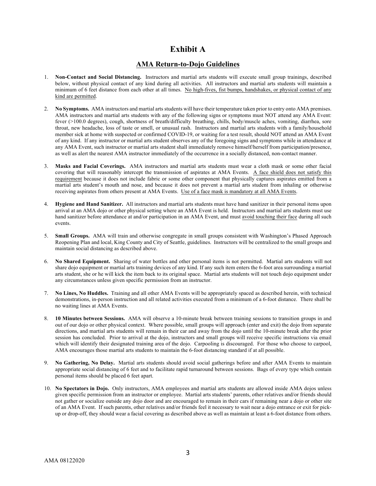### **Exhibit A**

#### **AMA Return-to-Dojo Guidelines**

- 1. **Non-Contact and Social Distancing.** Instructors and martial arts students will execute small group trainings, described below, without physical contact of any kind during all activities. All instructors and martial arts students will maintain a minimum of 6 feet distance from each other at all times. No high-fives, fist bumps, handshakes, or physical contact of any kind are permitted.
- 2. **No Symptoms.** AMA instructors and martial arts students will have their temperature taken prior to entry onto AMA premises. AMA instructors and martial arts students with any of the following signs or symptoms must NOT attend any AMA Event: fever (>100.0 degrees), cough, shortness of breath/difficulty breathing, chills, body/muscle aches, vomiting, diarrhea, sore throat, new headache, loss of taste or smell, or unusual rash. Instructors and martial arts students with a family/household member sick at home with suspected or confirmed COVID-19, or waiting for a test result, should NOT attend an AMA Event of any kind. If any instructor or martial arts student observes any of the foregoing signs and symptoms while in attendance at any AMA Event, such instructor or martial arts student shall immediately remove himself/herself from participation/presence, as well as alert the nearest AMA instructor immediately of the occurrence in a socially distanced, non-contact manner.
- 3. **Masks and Facial Coverings.** AMA instructors and martial arts students must wear a cloth mask or some other facial covering that will reasonably intercept the transmission of aspirates at AMA Events. A face shield does not satisfy this requirement because it does not include fabric or some other component that physically captures aspirates emitted from a martial arts student's mouth and nose, and because it does not prevent a martial arts student from inhaling or otherwise receiving aspirates from others present at AMA Events. Use of a face mask is mandatory at all AMA Events.
- 4. **Hygiene and Hand Sanitizer.** All instructors and martial arts students must have hand sanitizer in their personal items upon arrival at an AMA dojo or other physical setting where an AMA Event is held. Instructors and martial arts students must use hand sanitizer before attendance at and/or participation in an AMA Event, and must avoid touching their face during all such events.
- 5. **Small Groups.** AMA will train and otherwise congregate in small groups consistent with Washington's Phased Approach Reopening Plan and local, King County and City of Seattle, guidelines. Instructors will be centralized to the small groups and maintain social distancing as described above.
- 6. **No Shared Equipment.** Sharing of water bottles and other personal items is not permitted. Martial arts students will not share dojo equipment or martial arts training devices of any kind. If any such item enters the 6-foot area surrounding a martial arts student, she or he will kick the item back to its original space. Martial arts students will not touch dojo equipment under any circumstances unless given specific permission from an instructor.
- 7. **No Lines, No Huddles.** Training and all other AMA Events will be appropriately spaced as described herein, with technical demonstrations, in-person instruction and all related activities executed from a minimum of a 6-foot distance. There shall be no waiting lines at AMA Events.
- 8. **10 Minutes between Sessions.** AMA will observe a 10-minute break between training sessions to transition groups in and out of our dojo or other physical context. Where possible, small groups will approach (enter and exit) the dojo from separate directions, and martial arts students will remain in their car and away from the dojo until the 10-minute break after the prior session has concluded. Prior to arrival at the dojo, instructors and small groups will receive specific instructions via email which will identify their designated training area of the dojo. Carpooling is discouraged. For those who choose to carpool, AMA encourages those martial arts students to maintain the 6-foot distancing standard if at all possible.
- 9. **No Gathering, No Delay.** Martial arts students should avoid social gatherings before and after AMA Events to maintain appropriate social distancing of 6 feet and to facilitate rapid turnaround between sessions. Bags of every type which contain personal items should be placed 6 feet apart.
- 10. **No Spectators in Dojo.** Only instructors, AMA employees and martial arts students are allowed inside AMA dojos unless given specific permission from an instructor or employee. Martial arts students' parents, other relatives and/or friends should not gather or socialize outside any dojo door and are encouraged to remain in their cars if remaining near a dojo or other site of an AMA Event. If such parents, other relatives and/or friends feel it necessary to wait near a dojo entrance or exit for pickup or drop-off, they should wear a facial covering as described above as well as maintain at least a 6-foot distance from others.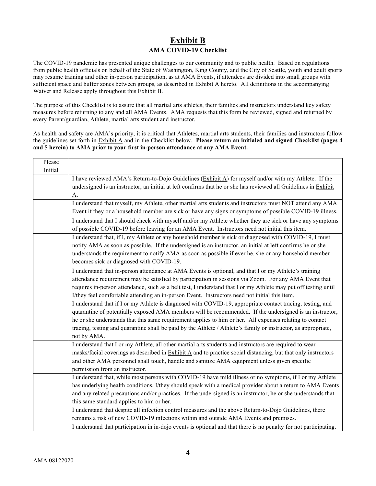### **Exhibit B AMA COVID-19 Checklist**

The COVID-19 pandemic has presented unique challenges to our community and to public health. Based on regulations from public health officials on behalf of the State of Washington, King County, and the City of Seattle, youth and adult sports may resume training and other in-person participation, as at AMA Events, if attendees are divided into small groups with sufficient space and buffer zones between groups, as described in Exhibit A hereto. All definitions in the accompanying Waiver and Release apply throughout this Exhibit B.

The purpose of this Checklist is to assure that all martial arts athletes, their families and instructors understand key safety measures before returning to any and all AMA Events. AMA requests that this form be reviewed, signed and returned by every Parent/guardian, Athlete, martial arts student and instructor.

As health and safety are AMA's priority, it is critical that Athletes, martial arts students, their families and instructors follow the guidelines set forth in Exhibit A and in the Checklist below. **Please return an initialed and signed Checklist (pages 4 and 5 herein) to AMA prior to your first in-person attendance at any AMA Event.**

| Please  |                                                                                                                                   |  |  |
|---------|-----------------------------------------------------------------------------------------------------------------------------------|--|--|
| Initial |                                                                                                                                   |  |  |
|         | I have reviewed AMA's Return-to-Dojo Guidelines (Exhibit A) for myself and/or with my Athlete. If the                             |  |  |
|         | undersigned is an instructor, an initial at left confirms that he or she has reviewed all Guidelines in Exhibit                   |  |  |
|         | <u>A</u> .                                                                                                                        |  |  |
|         | I understand that myself, my Athlete, other martial arts students and instructors must NOT attend any AMA                         |  |  |
|         | Event if they or a household member are sick or have any signs or symptoms of possible COVID-19 illness.                          |  |  |
|         | I understand that I should check with myself and/or my Athlete whether they are sick or have any symptoms                         |  |  |
|         | of possible COVID-19 before leaving for an AMA Event. Instructors need not initial this item.                                     |  |  |
|         | I understand that, if I, my Athlete or any household member is sick or diagnosed with COVID-19, I must                            |  |  |
|         | notify AMA as soon as possible. If the undersigned is an instructor, an initial at left confirms he or she                        |  |  |
|         | understands the requirement to notify AMA as soon as possible if ever he, she or any household member                             |  |  |
|         | becomes sick or diagnosed with COVID-19.                                                                                          |  |  |
|         | I understand that in-person attendance at AMA Events is optional, and that I or my Athlete's training                             |  |  |
|         | attendance requirement may be satisfied by participation in sessions via Zoom. For any AMA Event that                             |  |  |
|         | requires in-person attendance, such as a belt test, I understand that I or my Athlete may put off testing until                   |  |  |
|         | I/they feel comfortable attending an in-person Event. Instructors need not initial this item.                                     |  |  |
|         | I understand that if I or my Athlete is diagnosed with COVID-19, appropriate contact tracing, testing, and                        |  |  |
|         | quarantine of potentially exposed AMA members will be recommended. If the undersigned is an instructor,                           |  |  |
|         | he or she understands that this same requirement applies to him or her. All expenses relating to contact                          |  |  |
|         | tracing, testing and quarantine shall be paid by the Athlete / Athlete's family or instructor, as appropriate,                    |  |  |
|         | not by AMA.                                                                                                                       |  |  |
|         | I understand that I or my Athlete, all other martial arts students and instructors are required to wear                           |  |  |
|         | masks/facial coverings as described in $\overline{\text{Exhibit A}}$ and to practice social distancing, but that only instructors |  |  |
|         | and other AMA personnel shall touch, handle and sanitize AMA equipment unless given specific                                      |  |  |
|         | permission from an instructor.                                                                                                    |  |  |
|         | I understand that, while most persons with COVID-19 have mild illness or no symptoms, if I or my Athlete                          |  |  |
|         | has underlying health conditions, I/they should speak with a medical provider about a return to AMA Events                        |  |  |
|         | and any related precautions and/or practices. If the undersigned is an instructor, he or she understands that                     |  |  |
|         | this same standard applies to him or her.                                                                                         |  |  |
|         | I understand that despite all infection control measures and the above Return-to-Dojo Guidelines, there                           |  |  |
|         | remains a risk of new COVID-19 infections within and outside AMA Events and premises.                                             |  |  |
|         | I understand that participation in in-dojo events is optional and that there is no penalty for not participating.                 |  |  |